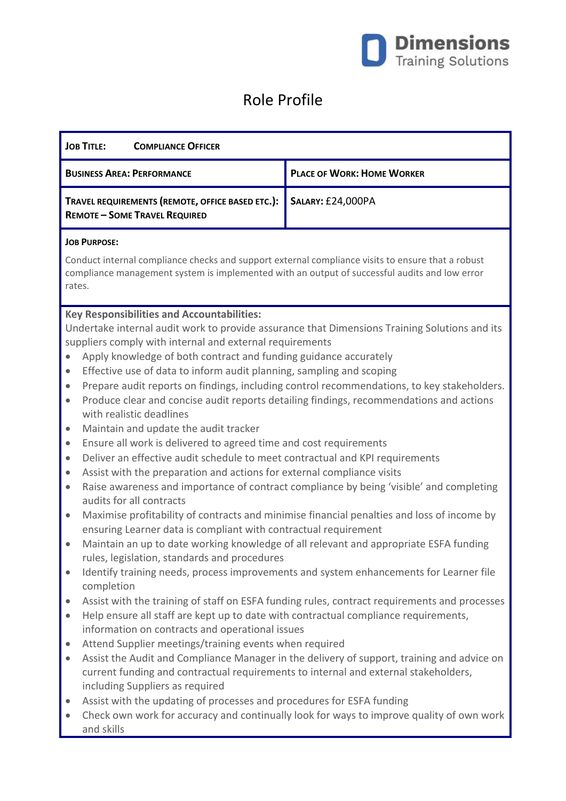

## Role Profile

| <b>JOB TITLE:</b><br><b>COMPLIANCE OFFICER</b>                                                                                                                                                                                                                                                                                                                                                                                                                                                                                                                                                                                                                                                                                                                                                                                                                                                                                                                                                                                                                                                                                                                                                                                                                                                                                                                                                                                          |                                                                                                                                                                                                                                                                                                  |                                                                                          |
|-----------------------------------------------------------------------------------------------------------------------------------------------------------------------------------------------------------------------------------------------------------------------------------------------------------------------------------------------------------------------------------------------------------------------------------------------------------------------------------------------------------------------------------------------------------------------------------------------------------------------------------------------------------------------------------------------------------------------------------------------------------------------------------------------------------------------------------------------------------------------------------------------------------------------------------------------------------------------------------------------------------------------------------------------------------------------------------------------------------------------------------------------------------------------------------------------------------------------------------------------------------------------------------------------------------------------------------------------------------------------------------------------------------------------------------------|--------------------------------------------------------------------------------------------------------------------------------------------------------------------------------------------------------------------------------------------------------------------------------------------------|------------------------------------------------------------------------------------------|
|                                                                                                                                                                                                                                                                                                                                                                                                                                                                                                                                                                                                                                                                                                                                                                                                                                                                                                                                                                                                                                                                                                                                                                                                                                                                                                                                                                                                                                         | <b>BUSINESS AREA: PERFORMANCE</b>                                                                                                                                                                                                                                                                | <b>PLACE OF WORK: HOME WORKER</b>                                                        |
| TRAVEL REQUIREMENTS (REMOTE, OFFICE BASED ETC.):<br><b>REMOTE - SOME TRAVEL REQUIRED</b>                                                                                                                                                                                                                                                                                                                                                                                                                                                                                                                                                                                                                                                                                                                                                                                                                                                                                                                                                                                                                                                                                                                                                                                                                                                                                                                                                |                                                                                                                                                                                                                                                                                                  | <b>SALARY: £24,000PA</b>                                                                 |
| <b>JOB PURPOSE:</b>                                                                                                                                                                                                                                                                                                                                                                                                                                                                                                                                                                                                                                                                                                                                                                                                                                                                                                                                                                                                                                                                                                                                                                                                                                                                                                                                                                                                                     |                                                                                                                                                                                                                                                                                                  |                                                                                          |
| Conduct internal compliance checks and support external compliance visits to ensure that a robust<br>compliance management system is implemented with an output of successful audits and low error<br>rates.                                                                                                                                                                                                                                                                                                                                                                                                                                                                                                                                                                                                                                                                                                                                                                                                                                                                                                                                                                                                                                                                                                                                                                                                                            |                                                                                                                                                                                                                                                                                                  |                                                                                          |
| <b>Key Responsibilities and Accountabilities:</b><br>Undertake internal audit work to provide assurance that Dimensions Training Solutions and its<br>suppliers comply with internal and external requirements<br>Apply knowledge of both contract and funding guidance accurately<br>$\bullet$<br>Effective use of data to inform audit planning, sampling and scoping<br>$\bullet$<br>Prepare audit reports on findings, including control recommendations, to key stakeholders.<br>$\bullet$<br>Produce clear and concise audit reports detailing findings, recommendations and actions<br>$\bullet$<br>with realistic deadlines<br>Maintain and update the audit tracker<br>$\bullet$<br>Ensure all work is delivered to agreed time and cost requirements<br>$\bullet$<br>Deliver an effective audit schedule to meet contractual and KPI requirements<br>$\bullet$<br>Assist with the preparation and actions for external compliance visits<br>$\bullet$<br>Raise awareness and importance of contract compliance by being 'visible' and completing<br>$\bullet$<br>audits for all contracts<br>Maximise profitability of contracts and minimise financial penalties and loss of income by<br>$\bullet$<br>ensuring Learner data is compliant with contractual requirement<br>Maintain an up to date working knowledge of all relevant and appropriate ESFA funding<br>$\bullet$<br>rules, legislation, standards and procedures |                                                                                                                                                                                                                                                                                                  |                                                                                          |
|                                                                                                                                                                                                                                                                                                                                                                                                                                                                                                                                                                                                                                                                                                                                                                                                                                                                                                                                                                                                                                                                                                                                                                                                                                                                                                                                                                                                                                         | Identify training needs, process improvements and system enhancements for Learner file<br>completion                                                                                                                                                                                             |                                                                                          |
| $\bullet$<br>$\bullet$<br>$\bullet$                                                                                                                                                                                                                                                                                                                                                                                                                                                                                                                                                                                                                                                                                                                                                                                                                                                                                                                                                                                                                                                                                                                                                                                                                                                                                                                                                                                                     | Assist with the training of staff on ESFA funding rules, contract requirements and processes<br>Help ensure all staff are kept up to date with contractual compliance requirements,<br>information on contracts and operational issues<br>Attend Supplier meetings/training events when required |                                                                                          |
| $\bullet$                                                                                                                                                                                                                                                                                                                                                                                                                                                                                                                                                                                                                                                                                                                                                                                                                                                                                                                                                                                                                                                                                                                                                                                                                                                                                                                                                                                                                               | Assist the Audit and Compliance Manager in the delivery of support, training and advice on<br>current funding and contractual requirements to internal and external stakeholders,<br>including Suppliers as required                                                                             |                                                                                          |
| $\bullet$                                                                                                                                                                                                                                                                                                                                                                                                                                                                                                                                                                                                                                                                                                                                                                                                                                                                                                                                                                                                                                                                                                                                                                                                                                                                                                                                                                                                                               | Assist with the updating of processes and procedures for ESFA funding<br>and skills                                                                                                                                                                                                              | Check own work for accuracy and continually look for ways to improve quality of own work |